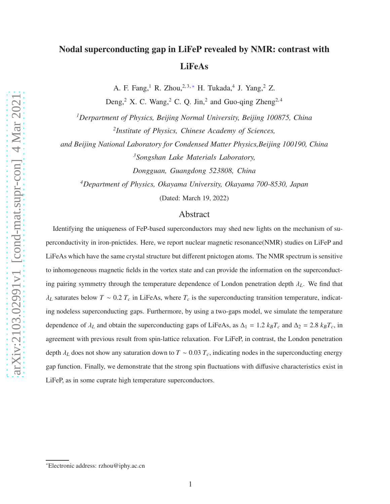A. F. Fang,<sup>1</sup> R. Zhou,<sup>2,3,\*</sup> H. Tukada,<sup>4</sup> J. Yang,<sup>2</sup> Z.

Deng,<sup>2</sup> X. C. Wang,<sup>2</sup> C. Q. Jin,<sup>2</sup> and Guo-qing Zheng<sup>2,4</sup>

*<sup>1</sup>Derpartment of Physics, Beijing Normal University, Beijing 100875, China 2 Institute of Physics, Chinese Academy of Sciences,*

*and Beijing National Laboratory for Condensed Matter Physics,Beijing 100190, China <sup>3</sup>Songshan Lake Materials Laboratory,*

*Dongguan, Guangdong 523808, China*

*<sup>4</sup>Department of Physics, Okayama University, Okayama 700-8530, Japan*

(Dated: March 19, 2022)

## Abstract

Identifying the uniqueness of FeP-based superconductors may shed new lights on the mechanism of superconductivity in iron-pnictides. Here, we report nuclear magnetic resonance(NMR) studies on LiFeP and LiFeAs which have the same crystal structure but different pnictogen atoms. The NMR spectrum is sensitive to inhomogeneous magnetic fields in the vortex state and can provide the information on the superconducting pairing symmetry through the temperature dependence of London penetration depth λ*L*. We find that  $\lambda_L$  saturates below  $T \sim 0.2 T_c$  in LiFeAs, where  $T_c$  is the superconducting transition temperature, indicating nodeless superconducting gaps. Furthermore, by using a two-gaps model, we simulate the temperature dependence of  $\lambda_L$  and obtain the superconducting gaps of LiFeAs, as  $\Delta_1 = 1.2$   $k_B T_c$  and  $\Delta_2 = 2.8$   $k_B T_c$ , in agreement with previous result from spin-lattice relaxation. For LiFeP, in contrast, the London penetration depth  $\lambda_L$  does not show any saturation down to  $T \sim 0.03$   $T_c$ , indicating nodes in the superconducting energy gap function. Finally, we demonstrate that the strong spin fluctuations with diffusive characteristics exist in LiFeP, as in some cuprate high temperature superconductors.

<span id="page-0-0"></span><sup>∗</sup>Electronic address: rzhou@iphy.ac.cn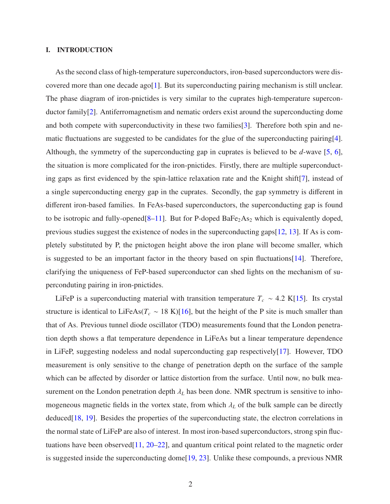# I. INTRODUCTION

As the second class of high-temperature superconductors, iron-based superconductors were dis-covered more than one decade ago[\[1](#page-11-0)]. But its superconducting pairing mechanism is still unclear. The phase diagram of iron-pnictides is very similar to the cuprates high-temperature superconductor family[\[2\]](#page-11-1). Antiferromagnetism and nematic orders exist around the superconducting dome and both compete with superconductivity in these two families[\[3\]](#page-11-2). Therefore both spin and nematic fluctuations are suggested to be candidates for the glue of the superconducting pairing[\[4](#page-11-3)]. Although, the symmetry of the superconducting gap in cuprates is believed to be *d*-wave [\[5,](#page-11-4) [6](#page-11-5)], the situation is more complicated for the iron-pnictides. Firstly, there are multiple superconducting gaps as first evidenced by the spin-lattice relaxation rate and the Knight shift[\[7](#page-11-6)], instead of a single superconducting energy gap in the cuprates. Secondly, the gap symmetry is different in different iron-based families. In FeAs-based superconductors, the superconducting gap is found to be isotropic and fully-opened $[8-11]$  $[8-11]$ . But for P-doped BaFe<sub>2</sub>As<sub>2</sub> which is equivalently doped, previous studies suggest the existence of nodes in the superconducting gaps[\[12,](#page-11-9) [13](#page-11-10)]. If As is completely substituted by P, the pnictogen height above the iron plane will become smaller, which is suggested to be an important factor in the theory based on spin fluctuations[\[14\]](#page-11-11). Therefore, clarifying the uniqueness of FeP-based superconductor can shed lights on the mechanism of superconduting pairing in iron-pnictides.

LiFeP is a superconducting material with transition temperature  $T_c \sim 4.2$  K[\[15](#page-11-12)]. Its crystal structure is identical to LiFeAs( $T_c \sim 18$  K)[\[16\]](#page-11-13), but the height of the P site is much smaller than that of As. Previous tunnel diode oscillator (TDO) measurements found that the London penetration depth shows a flat temperature dependence in LiFeAs but a linear temperature dependence in LiFeP, suggesting nodeless and nodal superconducting gap respectively[\[17](#page-12-0)]. However, TDO measurement is only sensitive to the change of penetration depth on the surface of the sample which can be affected by disorder or lattice distortion from the surface. Until now, no bulk measurement on the London penetration depth  $\lambda_L$  has been done. NMR spectrum is sensitive to inhomogeneous magnetic fields in the vortex state, from which  $\lambda_L$  of the bulk sample can be directly deduced[\[18,](#page-12-1) [19](#page-12-2)]. Besides the properties of the superconducting state, the electron correlations in the normal state of LiFeP are also of interest. In most iron-based superconductors, strong spin fluctuations have been observed[\[11](#page-11-8), [20](#page-12-3)[–22\]](#page-12-4), and quantum critical point related to the magnetic order is suggested inside the superconducting dome[\[19,](#page-12-2) [23](#page-12-5)]. Unlike these compounds, a previous NMR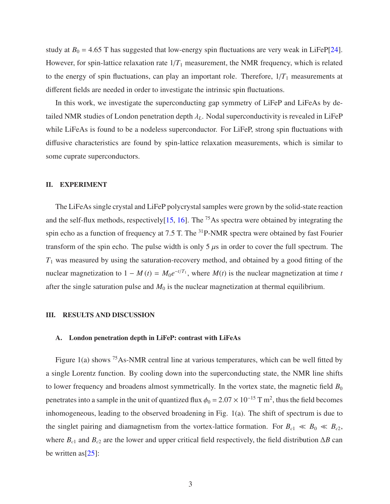study at  $B_0 = 4.65$  T has suggested that low-energy spin fluctuations are very weak in LiFeP[\[24](#page-12-6)]. However, for spin-lattice relaxation rate  $1/T_1$  measurement, the NMR frequency, which is related to the energy of spin fluctuations, can play an important role. Therefore,  $1/T_1$  measurements at different fields are needed in order to investigate the intrinsic spin fluctuations.

In this work, we investigate the superconducting gap symmetry of LiFeP and LiFeAs by detailed NMR studies of London penetration depth  $\lambda_L$ . Nodal superconductivity is revealed in LiFeP while LiFeAs is found to be a nodeless superconductor. For LiFeP, strong spin fluctuations with diffusive characteristics are found by spin-lattice relaxation measurements, which is similar to some cuprate superconductors.

#### II. EXPERIMENT

The LiFeAs single crystal and LiFeP polycrystal samples were grown by the solid-state reaction and the self-flux methods, respectively $[15, 16]$  $[15, 16]$  $[15, 16]$  $[15, 16]$ . The <sup>75</sup>As spectra were obtained by integrating the spin echo as a function of frequency at 7.5 T. The <sup>31</sup>P-NMR spectra were obtained by fast Fourier transform of the spin echo. The pulse width is only 5  $\mu$ s in order to cover the full spectrum. The  $T_1$  was measured by using the saturation-recovery method, and obtained by a good fitting of the nuclear magnetization to  $1 - M(t) = M_0 e^{-t/T_1}$ , where  $M(t)$  is the nuclear magnetization at time *t* after the single saturation pulse and  $M_0$  is the nuclear magnetization at thermal equilibrium.

# III. RESULTS AND DISCUSSION

## A. London penetration depth in LiFeP: contrast with LiFeAs

Figure 1(a) shows  $75$  As-NMR central line at various temperatures, which can be well fitted by a single Lorentz function. By cooling down into the superconducting state, the NMR line shifts to lower frequency and broadens almost symmetrically. In the vortex state, the magnetic field  $B_0$ penetrates into a sample in the unit of quantized flux  $\phi_0 = 2.07 \times 10^{-15}$  T m<sup>2</sup>, thus the field becomes inhomogeneous, leading to the observed broadening in Fig. 1(a). The shift of spectrum is due to the singlet pairing and diamagnetism from the vortex-lattice formation. For  $B_{c1} \ll B_0 \ll B_{c2}$ , where *B<sup>c</sup>*<sup>1</sup> and *B<sup>c</sup>*<sup>2</sup> are the lower and upper critical field respectively, the field distribution ∆*B* can be written as  $[25]$  $[25]$ :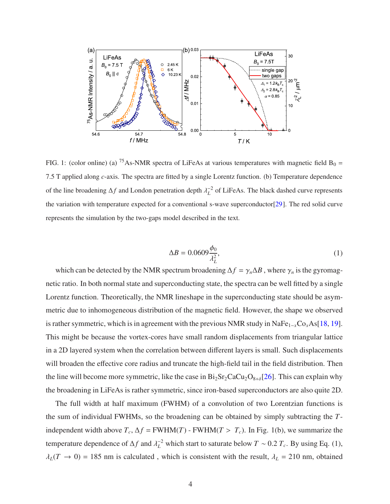

FIG. 1: (color online) (a) <sup>75</sup>As-NMR spectra of LiFeAs at various temperatures with magnetic field  $B_0 =$ 7.5 T applied along *c*-axis. The spectra are fitted by a single Lorentz function. (b) Temperature dependence of the line broadening ∆*f* and London penetration depth  $\lambda_L^{-2}$  of LiFeAs. The black dashed curve represents the variation with temperature expected for a conventional s-wave superconductor[\[29](#page-12-8)]. The red solid curve represents the simulation by the two-gaps model described in the text.

$$
\Delta B = 0.0609 \frac{\phi_0}{\lambda_L^2},\tag{1}
$$

which can be detected by the NMR spectrum broadening  $\Delta f = \gamma_n \Delta B$ , where  $\gamma_n$  is the gyromagnetic ratio. In both normal state and superconducting state, the spectra can be well fitted by a single Lorentz function. Theoretically, the NMR lineshape in the superconducting state should be asymmetric due to inhomogeneous distribution of the magnetic field. However, the shape we observed is rather symmetric, which is in agreement with the previous NMR study in NaFe1−*x*Co*x*As[\[18](#page-12-1), [19](#page-12-2)]. This might be because the vortex-cores have small random displacements from triangular lattice in a 2D layered system when the correlation between different layers is small. Such displacements will broaden the effective core radius and truncate the high-field tail in the field distribution. Then the line will become more symmetric, like the case in  $Bi_2Sr_2CaCu_2O_{8+\delta}[26]$  $Bi_2Sr_2CaCu_2O_{8+\delta}[26]$ . This can explain why the broadening in LiFeAs is rather symmetric, since iron-based superconductors are also quite 2D.

The full width at half maximum (FWHM) of a convolution of two Lorentzian functions is the sum of individual FWHMs, so the broadening can be obtained by simply subtracting the *T*independent width above  $T_c$ ,  $\Delta f$  = FWHM(*T*) - FWHM(*T* >  $T_c$ ). In Fig. 1(b), we summarize the temperature dependence of  $\Delta f$  and  $\lambda_L^{-2}$  which start to saturate below  $T \sim 0.2 T_c$ . By using Eq. (1),  $\lambda_L(T \rightarrow 0) = 185$  nm is calculated, which is consistent with the result,  $\lambda_L = 210$  nm, obtained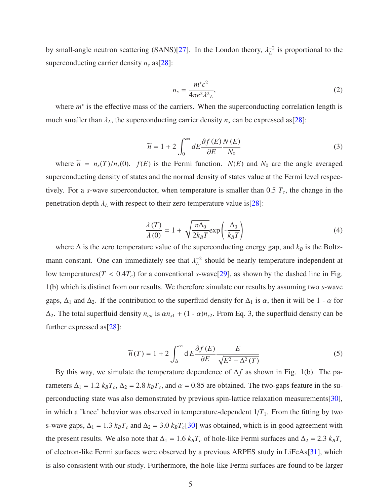by small-angle neutron scattering (SANS)[\[27](#page-12-10)]. In the London theory,  $\lambda_L^{-2}$  is proportional to the superconducting carrier density *n<sup>s</sup>* as[\[28\]](#page-12-11):

$$
n_s = \frac{m^*c^2}{4\pi e^2 \lambda^2 L},\tag{2}
$$

where  $m^*$  is the effective mass of the carriers. When the superconducting correlation length is much smaller than  $\lambda_L$ , the superconducting carrier density  $n_s$  can be expressed as[\[28\]](#page-12-11):

$$
\widetilde{n} = 1 + 2 \int_0^\infty dE \frac{\partial f(E)}{\partial E} \frac{N(E)}{N_0}
$$
\n(3)

where  $\tilde{n} = n_s(T)/n_s(0)$ .  $f(E)$  is the Fermi function.  $N(E)$  and  $N_0$  are the angle averaged superconducting density of states and the normal density of states value at the Fermi level respectively. For a *s*-wave superconductor, when temperature is smaller than 0.5 *T<sup>c</sup>* , the change in the penetration depth  $\lambda_L$  with respect to their zero temperature value is[\[28](#page-12-11)]:

$$
\frac{\lambda(T)}{\lambda(0)} = 1 + \sqrt{\frac{\pi \Delta_0}{2k_B T}} \exp\left(-\frac{\Delta_0}{k_B T}\right)
$$
(4)

where  $\Delta$  is the zero temperature value of the superconducting energy gap, and  $k_B$  is the Boltzmann constant. One can immediately see that  $\lambda_L^{-2}$  should be nearly temperature independent at low temperatures( $T < 0.4T_c$ ) for a conventional *s*-wave[\[29\]](#page-12-8), as shown by the dashed line in Fig. 1(b) which is distinct from our results. We therefore simulate our results by assuming two *s*-wave gaps,  $\Delta_1$  and  $\Delta_2$ . If the contribution to the superfluid density for  $\Delta_1$  is  $\alpha$ , then it will be 1 -  $\alpha$  for  $\Delta_2$ . The total superfluid density  $n_{tot}$  is  $\alpha n_{s1} + (1 - \alpha)n_{s2}$ . From Eq. 3, the superfluid density can be further expressed as[\[28](#page-12-11)]:

$$
\widetilde{n}(T) = 1 + 2 \int_{\Delta}^{\infty} dE \frac{\partial f(E)}{\partial E} \frac{E}{\sqrt{E^2 - \Delta^2(T)}}
$$
(5)

By this way, we simulate the temperature dependence of ∆*f* as shown in Fig. 1(b). The parameters  $\Delta_1 = 1.2 k_B T_c$ ,  $\Delta_2 = 2.8 k_B T_c$ , and  $\alpha = 0.85$  are obtained. The two-gaps feature in the superconducting state was also demonstrated by previous spin-lattice relaxation measurements[\[30](#page-12-12)], in which a 'knee' behavior was observed in temperature-dependent  $1/T<sub>1</sub>$ . From the fitting by two s-wave gaps,  $\Delta_1 = 1.3 k_B T_c$  and  $\Delta_2 = 3.0 k_B T_c$ [\[30](#page-12-12)] was obtained, which is in good agreement with the present results. We also note that  $\Delta_1 = 1.6 k_B T_c$  of hole-like Fermi surfaces and  $\Delta_2 = 2.3 k_B T_c$ of electron-like Fermi surfaces were observed by a previous ARPES study in LiFeAs[\[31\]](#page-12-13), which is also consistent with our study. Furthermore, the hole-like Fermi surfaces are found to be larger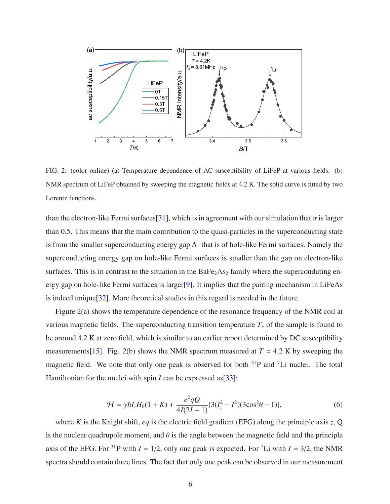

FIG. 2: (color online) (a) Temperature dependence of AC susceptibility of LiFeP at various fields. (b) NMR spectrum of LiFeP obtained by sweeping the magnetic fields at 4.2 K. The solid curve is fitted by two Lorentz functions.

than the electron-like Fermi surfaces[\[31\]](#page-12-13), which is in agreement with our simulation that  $\alpha$  is larger than 0.5. This means that the main contribution to the quasi-particles in the superconducting state is from the smaller superconducting energy gap  $\Delta_1$  that is of hole-like Fermi surfaces. Namely the superconducting energy gap on hole-like Fermi surfaces is smaller than the gap on electron-like surfaces. This is in contrast to the situation in the  $BaFe<sub>2</sub>As<sub>2</sub>$  family where the superconduting energy gap on hole-like Fermi surfaces is larger[\[9](#page-11-14)]. It implies that the pairing mechanism in LiFeAs is indeed unique[\[32](#page-12-14)]. More theoretical studies in this regard is needed in the future.

Figure 2(a) shows the temperature dependence of the resonance frequency of the NMR coil at various magnetic fields. The superconducting transition temperature  $T_c$  of the sample is found to be around 4.2 K at zero field, which is similar to an earlier report determined by DC susceptibility measurements[\[15](#page-11-12)]. Fig. 2(b) shows the NMR spectrum measured at  $T = 4.2$  K by sweeping the magnetic field. We note that only one peak is observed for both  $31P$  and  $7Li$  nuclei. The total Hamiltonian for the nuclei with spin *I* can be expressed as [\[33](#page-12-15)]:

$$
\mathcal{H} = \gamma \hbar I_z H_0 (1 + K) + \frac{e^2 q Q}{4I(2I - 1)} [3(I_z^2 - I^2)(3\cos^2 \theta - 1)],\tag{6}
$$

where *K* is the Knight shift, *eq* is the electric field gradient (EFG) along the principle axis *z*, Q is the nuclear quadrupole moment, and  $\theta$  is the angle between the magnetic field and the principle axis of the EFG. For <sup>31</sup>P with  $I = 1/2$ , only one peak is expected. For <sup>7</sup>Li with  $I = 3/2$ , the NMR spectra should contain three lines. The fact that only one peak can be observed in our measurement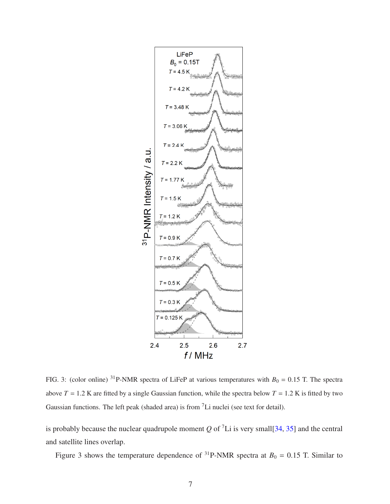

FIG. 3: (color online) <sup>31</sup>P-NMR spectra of LiFeP at various temperatures with  $B_0 = 0.15$  T. The spectra above  $T = 1.2$  K are fitted by a single Gaussian function, while the spectra below  $T = 1.2$  K is fitted by two Gaussian functions. The left peak (shaded area) is from <sup>7</sup>Li nuclei (see text for detail).

is probably because the nuclear quadrupole moment  $Q$  of  $^7$ Li is very small[\[34](#page-12-16), [35](#page-13-0)] and the central and satellite lines overlap.

Figure 3 shows the temperature dependence of <sup>31</sup>P-NMR spectra at  $B_0 = 0.15$  T. Similar to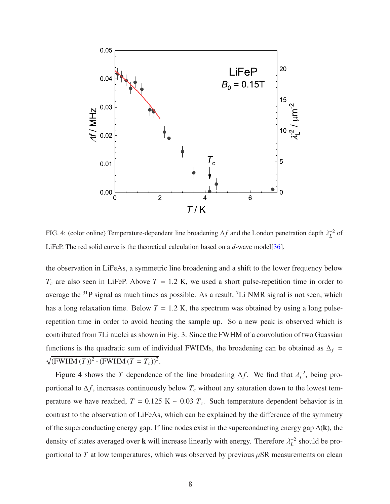

FIG. 4: (color online) Temperature-dependent line broadening  $\Delta f$  and the London penetration depth  $\lambda_L^{-2}$  of LiFeP. The red solid curve is the theoretical calculation based on a *d*-wave model[\[36](#page-13-1)].

the observation in LiFeAs, a symmetric line broadening and a shift to the lower frequency below  $T_c$  are also seen in LiFeP. Above  $T = 1.2$  K, we used a short pulse-repetition time in order to average the  $31P$  signal as much times as possible. As a result,  $7Li NMR$  signal is not seen, which has a long relaxation time. Below  $T = 1.2$  K, the spectrum was obtained by using a long pulserepetition time in order to avoid heating the sample up. So a new peak is observed which is contributed from 7Li nuclei as shown in Fig. 3. Since the FWHM of a convolution of two Guassian functions is the quadratic sum of individual FWHMs, the broadening can be obtained as  $\Delta_f$  =  $\sqrt{(FWHM (T))^{2} - (FWHM (T = T_{c}))^{2}}$ .

Figure 4 shows the *T* dependence of the line broadening  $\Delta f$ . We find that  $\lambda_L^{-2}$ , being proportional to  $\Delta f$ , increases continuously below  $T_c$  without any saturation down to the lowest temperature we have reached,  $T = 0.125 \text{ K} \sim 0.03 T_c$ . Such temperature dependent behavior is in contrast to the observation of LiFeAs, which can be explained by the difference of the symmetry of the superconducting energy gap. If line nodes exist in the superconducting energy gap ∆(k), the density of states averaged over **k** will increase linearly with energy. Therefore  $\lambda_L^{-2}$  should be proportional to  $T$  at low temperatures, which was observed by previous  $\mu$ SR measurements on clean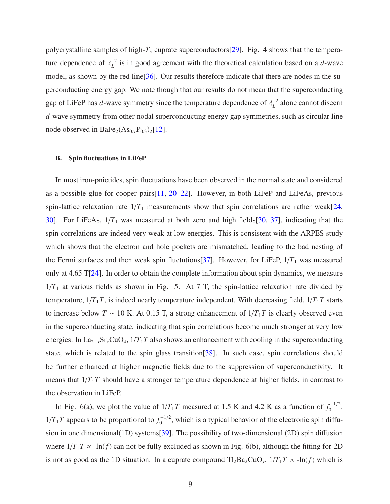polycrystalline samples of high-*T<sup>c</sup>* cuprate superconductors[\[29\]](#page-12-8). Fig. 4 shows that the temperature dependence of  $\lambda_L^{-2}$  is in good agreement with the theoretical calculation based on a *d*-wave model, as shown by the red line[\[36\]](#page-13-1). Our results therefore indicate that there are nodes in the superconducting energy gap. We note though that our results do not mean that the superconducting gap of LiFeP has *d*-wave symmetry since the temperature dependence of  $\lambda_L^{-2}$  alone cannot discern *d*-wave symmetry from other nodal superconducting energy gap symmetries, such as circular line node observed in BaFe<sub>2</sub>( $As<sub>0.7</sub>P<sub>0.3</sub>$ )<sub>2</sub>[\[12](#page-11-9)].

#### B. Spin fluctuations in LiFeP

In most iron-pnictides, spin fluctuations have been observed in the normal state and considered as a possible glue for cooper pairs[\[11](#page-11-8), [20](#page-12-3)[–22](#page-12-4)]. However, in both LiFeP and LiFeAs, previous spin-lattice relaxation rate  $1/T_1$  measurements show that spin correlations are rather weak[\[24](#page-12-6), [30](#page-12-12)]. For LiFeAs, 1/*T*<sup>1</sup> was measured at both zero and high fields[\[30](#page-12-12), [37\]](#page-13-2), indicating that the spin correlations are indeed very weak at low energies. This is consistent with the ARPES study which shows that the electron and hole pockets are mismatched, leading to the bad nesting of the Fermi surfaces and then weak spin fluctutions [\[37](#page-13-2)]. However, for LiFeP,  $1/T_1$  was measured only at 4.65 T[\[24](#page-12-6)]. In order to obtain the complete information about spin dynamics, we measure  $1/T_1$  at various fields as shown in Fig. 5. At 7 T, the spin-lattice relaxation rate divided by temperature,  $1/T_1T$ , is indeed nearly temperature independent. With decreasing field,  $1/T_1T$  starts to increase below *T* ~ 10 K. At 0.15 T, a strong enhancement of  $1/T_1T$  is clearly observed even in the superconducting state, indicating that spin correlations become much stronger at very low energies. In La2−*x*Sr*x*CuO4, 1/*T*1*T* also shows an enhancement with cooling in the superconducting state, which is related to the spin glass transition[\[38](#page-13-3)]. In such case, spin correlations should be further enhanced at higher magnetic fields due to the suppression of superconductivity. It means that  $1/T_1T$  should have a stronger temperature dependence at higher fields, in contrast to the observation in LiFeP.

In Fig. 6(a), we plot the value of  $1/T_1T$  measured at 1.5 K and 4.2 K as a function of  $f_0^{-1/2}$  $0^{(-1/2)}$  $1/T_1T$  appears to be proportional to  $f_0^{-1/2}$  $_{0}^{\alpha-1/2}$ , which is a typical behavior of the electronic spin diffusion in one dimensional(1D) systems[\[39\]](#page-13-4). The possibility of two-dimensional (2D) spin diffusion where  $1/T_1T \propto -\ln(f)$  can not be fully excluded as shown in Fig. 6(b), although the fitting for 2D is not as good as the 1D situation. In a cuprate compound  $Tl_2Ba_2CuO_y$ ,  $1/T_1T \propto -ln(f)$  which is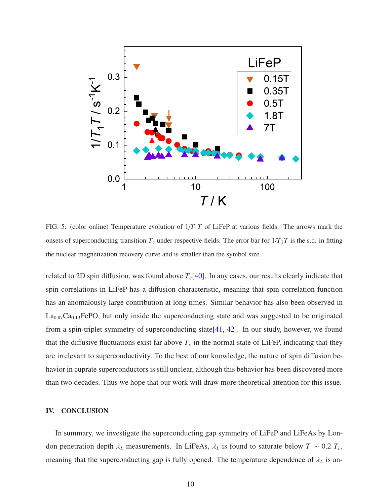

FIG. 5: (color online) Temperature evolution of 1/*T*1*T* of LiFeP at various fields. The arrows mark the onsets of superconducting transition  $T_c$  under respective fields. The error bar for  $1/T_1T$  is the s.d. in fitting the nuclear magnetization recovery curve and is smaller than the symbol size.

related to 2D spin diffusion, was found above  $T_c[40]$  $T_c[40]$ . In any cases, our results clearly indicate that spin correlations in LiFeP has a diffusion characteristic, meaning that spin correlation function has an anomalously large contribution at long times. Similar behavior has also been observed in  $La<sub>0.87</sub>Ca<sub>0.13</sub>FePO$ , but only inside the superconducting state and was suggested to be originated from a spin-triplet symmetry of superconducting state[\[41,](#page-13-6) [42](#page-13-7)]. In our study, however, we found that the diffusive fluctuations exist far above  $T_c$  in the normal state of LiFeP, indicating that they are irrelevant to superconductivity. To the best of our knowledge, the nature of spin diffusion behavior in cuprate superconductors is still unclear, although this behavior has been discovered more than two decades. Thus we hope that our work will draw more theoretical attention for this issue.

#### IV. CONCLUSION

In summary, we investigate the superconducting gap symmetry of LiFeP and LiFeAs by London penetration depth  $\lambda_L$  measurements. In LiFeAs,  $\lambda_L$  is found to saturate below  $T \sim 0.2 T_c$ , meaning that the superconducting gap is fully opened. The temperature dependence of λ*<sup>L</sup>* is an-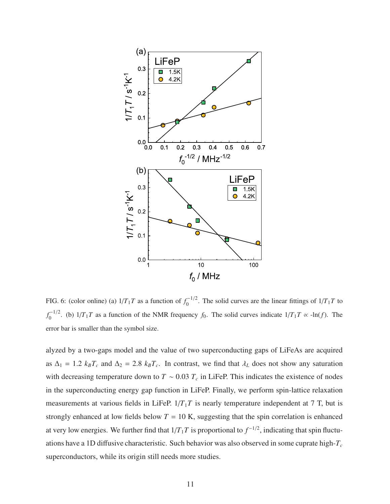

FIG. 6: (color online) (a)  $1/T_1T$  as a function of  $f_0^{-1/2}$  $\int_0^{\pi-1/2}$ . The solid curves are the linear fittings of  $1/T_1T$  to  $f_0^{-1/2}$  $\int_0^{\frac{1}{2}}$ . (b)  $1/T_1T$  as a function of the NMR frequency  $f_0$ . The solid curves indicate  $1/T_1T \propto -\ln(f)$ . The error bar is smaller than the symbol size.

alyzed by a two-gaps model and the value of two superconducting gaps of LiFeAs are acquired as  $\Delta_1 = 1.2$   $k_B T_c$  and  $\Delta_2 = 2.8$   $k_B T_c$ . In contrast, we find that  $\lambda_L$  does not show any saturation with decreasing temperature down to  $T \sim 0.03 T_c$  in LiFeP. This indicates the existence of nodes in the superconducting energy gap function in LiFeP. Finally, we perform spin-lattice relaxation measurements at various fields in LiFeP.  $1/T_1T$  is nearly temperature independent at 7 T, but is strongly enhanced at low fields below  $T = 10$  K, suggesting that the spin correlation is enhanced at very low energies. We further find that  $1/T_1T$  is proportional to  $f^{-1/2}$ , indicating that spin fluctuations have a 1D diffusive characteristic. Such behavior was also observed in some cuprate high-*T<sup>c</sup>* superconductors, while its origin still needs more studies.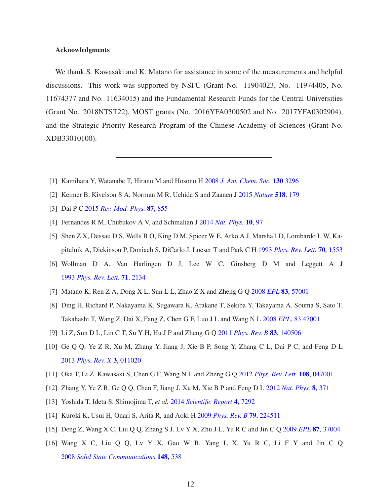## Acknowledgments

We thank S. Kawasaki and K. Matano for assistance in some of the measurements and helpful discussions. This work was supported by NSFC (Grant No. 11904023, No. 11974405, No. 11674377 and No. 11634015) and the Fundamental Research Funds for the Central Universities (Grant No. 2018NTST22), MOST grants (No. 2016YFA0300502 and No. 2017YFA0302904), and the Strategic Priority Research Program of the Chinese Academy of Sciences (Grant No. XDB33010100).

- <span id="page-11-1"></span><span id="page-11-0"></span>[1] Kamihara Y, Watanabe T, Hirano M and Hosono H 2008 *[J. Am. Chem. Soc.](https://doi.org/10.1021/ja800073m)* 130 3296
- [2] Keimer B, Kivelson S A, Norman M R, Uchida S and Zaanen J 2015 *[Nature](https://doi.org/10.1038/nature14165)* 518, 179
- <span id="page-11-3"></span><span id="page-11-2"></span>[3] Dai P C 2015 *[Rev. Mod. Phys.](https://doi.org/10.1103/RevModPhys.87.855)* 87, 855
- <span id="page-11-4"></span>[4] Fernandes R M, Chubukov A V, and Schmalian J 2014 *[Nat. Phys.](https://doi.org/10.1038/nphys2877)* 10, 97
- [5] Shen Z X, Dessau D S, Wells B O, King D M, Spicer W E, Arko A J, Marshall D, Lombardo L W, Kapitulnik A, Dickinson P, Doniach S, DiCarlo J, Loeser T and Park C H 1993 *[Phys. Rev. Lett.](https://doi.org/10.1103/PhysRevLett.70.1553)* 70, 1553
- <span id="page-11-5"></span>[6] Wollman D A, Van Harlingen D J, Lee W C, Ginsberg D M and Leggett A J 1993 *[Phys. Rev. Lett.](https://doi.org/10.1103/PhysRevLett.71.2134)* 71, 2134
- <span id="page-11-6"></span>[7] Matano K, Ren Z A, Dong X L, Sun L L, Zhao Z X and Zheng G Q 2008 *EPL* 83[, 57001](https://doi.org/10.1209/0295-5075/83/57001)
- <span id="page-11-7"></span>[8] Ding H, Richard P, Nakayama K, Sugawara K, Arakane T, Sekiba Y, Takayama A, Souma S, Sato T, Takahashi T, Wang Z, Dai X, Fang Z, Chen G F, Luo J L and Wang N L 2008 *EPL*[, 83 47001](https://doi.org/10.1209/0295-5075/83/47001)
- <span id="page-11-14"></span>[9] Li Z, Sun D L, Lin C T, Su Y H, Hu J P and Zheng G Q 2011 *[Phys. Rev. B](https://doi.org/10.1103/PhysRevB.83.140506)* 83, 140506
- [10] Ge Q Q, Ye Z R, Xu M, Zhang Y, Jiang J, Xie B P, Song Y, Zhang C L, Dai P C, and Feng D L 2013 *[Phys. Rev. X](https://doi.org/10.1103/PhysRevX.3.011020)* 3, 011020
- <span id="page-11-8"></span>[11] Oka T, Li Z, Kawasaki S, Chen G F, Wang N L and Zheng G Q 2012 *[Phys. Rev. Lett.](https://doi.org/10.1103/PhysRevLett.108.047001)* 108, 047001
- <span id="page-11-9"></span>[12] Zhang Y, Ye Z R, Ge Q Q, Chen F, Jiang J, Xu M, Xie B P and Feng D L 2012 *[Nat. Phys.](https://doi.org/10.1038/nphys2248)* 8, 371
- <span id="page-11-10"></span>[13] Yoshida T, Ideta S, Shimojima T, *et al.* 2014 *[Scientific Report](https://doi.org/10.1038/srep07292)* 4, 7292
- <span id="page-11-11"></span>[14] Kuroki K, Usui H, Onari S, Arita R, and Aoki H 2009 *[Phys. Rev. B](https://doi.org/10.1103/PhysRevB.79.224511)* 79, 224511
- <span id="page-11-12"></span>[15] Deng Z, Wang X C, Liu Q Q, Zhang S J, Lv Y X, Zhu J L, Yu R C and Jin C Q 2009 *EPL* 87[, 37004](https://doi.org/10.1209/0295-5075/87/37004)
- <span id="page-11-13"></span>[16] Wang X C, Liu Q Q, Lv Y X, Gao W B, Yang L X, Yu R C, Li F Y and Jin C Q 2008 *[Solid State Communications](https://doi.org/10.1016/j.ssc.2008.09.057)* 148, 538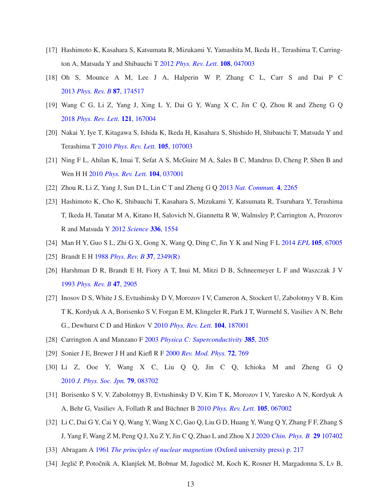- <span id="page-12-0"></span>[17] Hashimoto K, Kasahara S, Katsumata R, Mizukami Y, Yamashita M, Ikeda H., Terashima T, Carrington A, Matsuda Y and Shibauchi T 2012 *[Phys. Rev. Lett.](https://doi.org/10.1103/PhysRevLett.108.047003)* 108, 047003
- <span id="page-12-1"></span>[18] Oh S, Mounce A M, Lee J A, Halperin W P, Zhang C L, Carr S and Dai P C 2013 *[Phys. Rev. B](https://doi.org/10.1103/PhysRevB.87.174517)* 87, 174517
- <span id="page-12-2"></span>[19] Wang C G, Li Z, Yang J, Xing L Y, Dai G Y, Wang X C, Jin C Q, Zhou R and Zheng G Q 2018 *[Phys. Rev. Lett.](https://doi.org/10.1103/PhysRevLett.121.167004)* 121, 167004
- <span id="page-12-3"></span>[20] Nakai Y, Iye T, Kitagawa S, Ishida K, Ikeda H, Kasahara S, Shishido H, Shibauchi T, Matsuda Y and Terashima T 2010 *[Phys. Rev. Lett.](https://doi.org/10.1103/PhysRevLett.105.107003)* 105, 107003
- [21] Ning F L, Ahilan K, Imai T, Sefat A S, McGuire M A, Sales B C, Mandrus D, Cheng P, Shen B and Wen H H 2010 *[Phys. Rev. Lett.](https://doi.org/10.1103/PhysRevLett.104.037001)* 104, 037001
- <span id="page-12-5"></span><span id="page-12-4"></span>[22] Zhou R, Li Z, Yang J, Sun D L, Lin C T and Zheng G Q 2013 *[Nat. Commun.](https://doi.org/10.1038/ncomms3265)* 4, 2265
- [23] Hashimoto K, Cho K, Shibauchi T, Kasahara S, Mizukami Y, Katsumata R, Tsuruhara Y, Terashima T, Ikeda H, Tanatar M A, Kitano H, Salovich N, Giannetta R W, Walmsley P, Carrington A, Prozorov R and Matsuda Y 2012 *[Science](https://doi.org/10.1126/science.1219821)* 336, 1554
- <span id="page-12-6"></span>[24] Man H Y, Guo S L, Zhi G X, Gong X, Wang Q, Ding C, Jin Y K and Ning F L 2014 *EPL* 105[, 67005](https://doi.org/10.1209/0295-5075/105/67005)
- <span id="page-12-9"></span><span id="page-12-7"></span>[25] Brandt E H 1988 *[Phys. Rev. B](https://doi.org/10.1103/PhysRevB.37.2349)* 37, 2349(R)
- [26] Harshman D R, Brandt E H, Fiory A T, Inui M, Mitzi D B, Schneemeyer L F and Waszczak J V 1993 *[Phys. Rev. B](https://doi.org/10.1103/PhysRevB.47.2905)* 47, 2905
- <span id="page-12-10"></span>[27] Inosov D S, White J S, Evtushinsky D V, Morozov I V, Cameron A, Stockert U, Zabolotnyy V B, Kim T K, Kordyuk A A, Borisenko S V, Forgan E M, Klingeler R, Park J T, Wurmehl S, Vasiliev A N, Behr G., Dewhurst C D and Hinkov V 2010 *[Phys. Rev. Lett.](https://doi.org/10.1103/PhysRevLett.104.187001)* 104, 187001
- <span id="page-12-11"></span>[28] Carrington A and Manzano F 2003 *[Physica C: Superconductivity](https://doi.org/10.1016/S0921-4534(02)02319-5)* 385, 205
- <span id="page-12-8"></span>[29] Sonier J E, Brewer J H and Kiefl R F 2000 *[Rev. Mod. Phys.](https://doi.org/10.1103/RevModPhys.72.769)* 72, 769
- <span id="page-12-12"></span>[30] Li Z, Ooe Y, Wang X C, Liu Q Q, Jin C Q, Ichioka M and Zheng G Q 2010 *[J. Phys. Soc. Jpn.](https://doi.org/10.1143/JPSJ.79.083702)* 79, 083702
- <span id="page-12-13"></span>[31] Borisenko S V, V. Zabolotnyy B, Evtushinsky D V, Kim T K, Morozov I V, Yaresko A N, Kordyuk A A, Behr G, Vasiliev A, Follath R and Büchner B 2010 *[Phys. Rev. Lett.](https://doi.org/10.1103/PhysRevLett.105.067002)* **105**, 067002
- <span id="page-12-14"></span>[32] Li C, Dai G Y, Cai Y Q, Wang Y, Wang X C, Gao Q, Liu G D, Huang Y, Wang Q Y, Zhang F F, Zhang S J, Yang F, Wang Z M, Peng Q J, Xu Z Y, Jin C Q, Zhao L and Zhou X J 2020 *[Chin. Phys. B](https://doi.org/10.1088/1674-1056/abb21f)* 29 107402
- <span id="page-12-15"></span>[33] Abragam A 1961 *[The principles of nuclear magnetism](https://doi.org/10.1016/0029-5582(61)90091-8)* (Oxford university press) p. 217
- <span id="page-12-16"></span>[34] Jeglič P, Potočnik A, Klanjšek M, Bobnar M, Jagodicč M, Koch K, Rosner H, Margadonna S, Lv B,